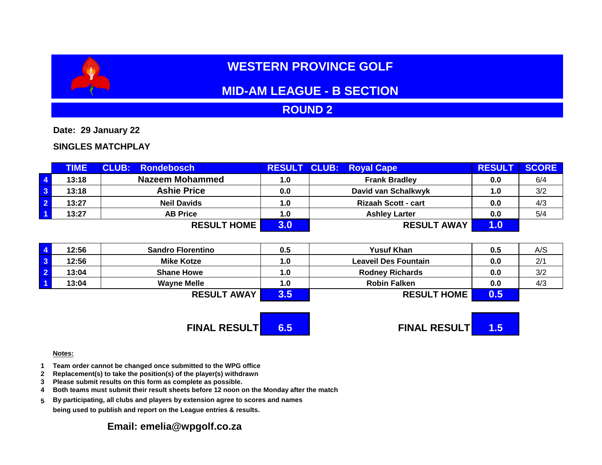# **WESTERN PROVINCE GOLF**

# **MID-AM LEAGUE - B SECTION**

## **ROUND 2**

**Date: 29 January 22**

### **SINGLES MATCHPLAY**

|                         | <b>TIME</b> | <b>CLUB: Rondebosch</b> |     | <b>RESULT CLUB: Royal Cape</b> | <b>RESULT</b> | <b>SCORE</b> |
|-------------------------|-------------|-------------------------|-----|--------------------------------|---------------|--------------|
| $\overline{4}$          | 13:18       | <b>Nazeem Mohammed</b>  | 1.0 | <b>Frank Bradley</b>           | 0.0           | 6/4          |
| $\overline{\mathbf{3}}$ | 13:18       | <b>Ashie Price</b>      | 0.0 | David van Schalkwyk            | 1.0           | 3/2          |
| $\overline{2}$          | 13:27       | <b>Neil Davids</b>      | 1.0 | <b>Rizaah Scott - cart</b>     | 0.0           | 4/3          |
| $\overline{1}$          | 13:27       | <b>AB Price</b>         | 1.0 | <b>Ashley Larter</b>           | 0.0           | 5/4          |
|                         |             | <b>RESULT HOME</b>      | 3.0 | <b>RESULT AWAY</b>             | $1.0^\circ$   |              |

| $\overline{4}$          | 12:56 | <b>Sandro Florentino</b> | 0.5 | <b>Yusuf Khan</b>           | 0.5 | A/S |
|-------------------------|-------|--------------------------|-----|-----------------------------|-----|-----|
| $\overline{\mathbf{3}}$ | 12:56 | <b>Mike Kotze</b>        | 1.0 | <b>Leaveil Des Fountain</b> | 0.0 | 2/1 |
| $\overline{2}$          | 13:04 | <b>Shane Howe</b>        | 1.0 | <b>Rodney Richards</b>      | 0.0 | 3/2 |
| $\overline{\mathbf{1}}$ | 13:04 | <b>Wayne Melle</b>       | 1.0 | <b>Robin Falken</b>         | 0.0 | 4/3 |
|                         |       | <b>RESULT AWAY</b>       |     | <b>RESULT HOME</b>          | 0.5 |     |

**FINAL RESULT 6.5 FINAL RESULT 1.5**

#### **Notes:**

- **1 Team order cannot be changed once submitted to the WPG office**
- **2 Replacement(s) to take the position(s) of the player(s) withdrawn**
- **3 Please submit results on this form as complete as possible.**
- **4 Both teams must submit their result sheets before 12 noon on the Monday after the match**
- **5 By participating, all clubs and players by extension agree to scores and names being used to publish and report on the League entries & results.**

### **Email: emelia@wpgolf.co.za**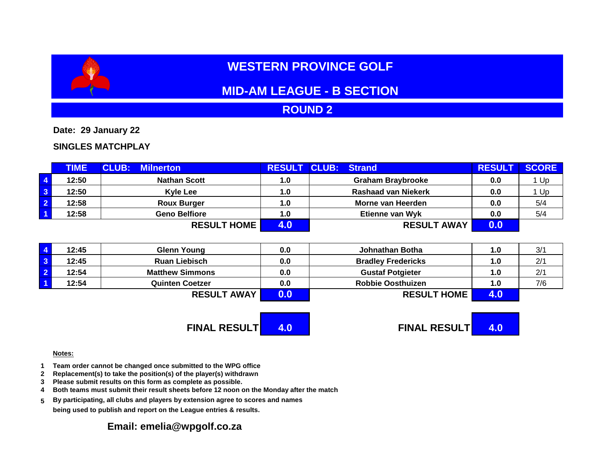# **WESTERN PROVINCE GOLF**

# **MID-AM LEAGUE - B SECTION**

## **ROUND 2**

**Date: 29 January 22**

### **SINGLES MATCHPLAY**

|                         | <b>TIME</b> | <b>CLUB:</b><br><b>Milnerton</b> | <b>RESULT</b> | <b>CLUB:</b><br><b>Strand</b> | <b>RESULT</b> | <b>SCORE</b> |
|-------------------------|-------------|----------------------------------|---------------|-------------------------------|---------------|--------------|
| $\overline{4}$          | 12:50       | <b>Nathan Scott</b>              | 1.0           | <b>Graham Braybrooke</b>      | 0.0           | 1 Up         |
| $\overline{\mathbf{3}}$ | 12:50       | <b>Kyle Lee</b>                  | 1.0           | <b>Rashaad van Niekerk</b>    | 0.0           | l Up         |
| $\overline{2}$          | 12:58       | <b>Roux Burger</b>               | 1.0           | Morne van Heerden             | 0.0           | 5/4          |
| $\overline{1}$          | 12:58       | <b>Geno Belfiore</b>             | 1.0           | <b>Etienne van Wyk</b>        | 0.0           | 5/4          |
|                         |             | <b>RESULT HOME</b>               |               | <b>RESULT AWAY</b>            | 0.0           |              |

| 12:45 | <b>Glenn Young</b>     | 0.0 | Johnathan Botha           | 1.0 | 3/1 |
|-------|------------------------|-----|---------------------------|-----|-----|
| 12:45 | <b>Ruan Liebisch</b>   | 0.0 | <b>Bradley Fredericks</b> | 1.0 | 2/1 |
| 12:54 | <b>Matthew Simmons</b> | 0.0 | <b>Gustaf Potgieter</b>   | 1.0 | 2/1 |
| 12:54 | <b>Quinten Coetzer</b> | 0.0 | <b>Robbie Oosthuizen</b>  | 1.0 | 7/6 |
|       | <b>RESULT AWAY</b>     | 0.0 | <b>RESULT HOME</b>        | 4.U |     |

**FINAL RESULT 4.0 FINAL RESULT 4.0**

#### **Notes:**

- **1 Team order cannot be changed once submitted to the WPG office**
- **2 Replacement(s) to take the position(s) of the player(s) withdrawn**
- **3 Please submit results on this form as complete as possible.**
- **4 Both teams must submit their result sheets before 12 noon on the Monday after the match**
- **5 By participating, all clubs and players by extension agree to scores and names being used to publish and report on the League entries & results.**

### **Email: emelia@wpgolf.co.za**